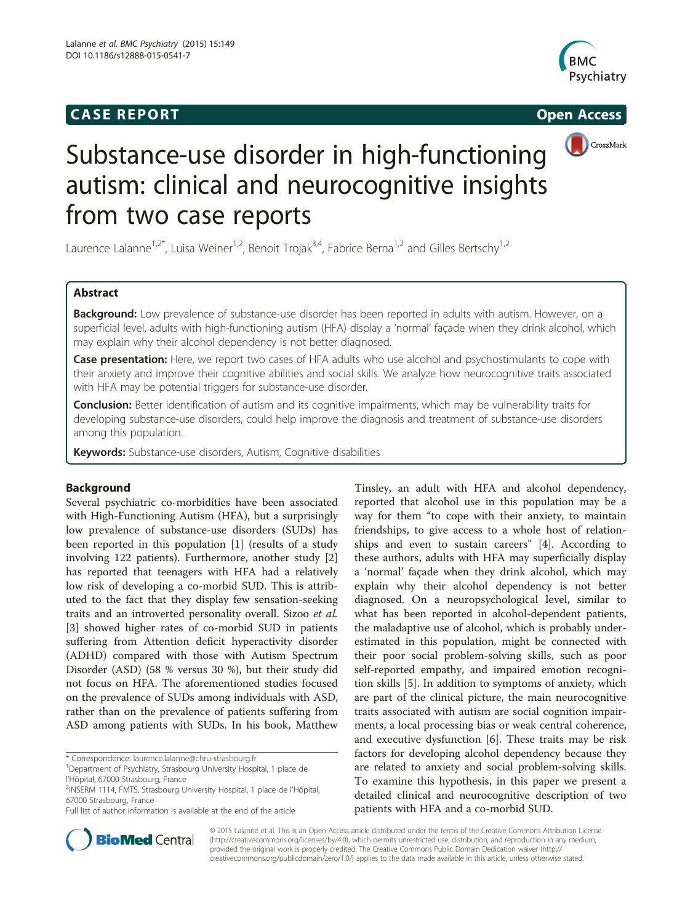# **CASE REPORT CASE REPORT**





# Substance-use disorder in high-functioning autism: clinical and neurocognitive insights from two case reports

Laurence Lalanne<sup>1,2\*</sup>, Luisa Weiner<sup>1,2</sup>, Benoit Trojak<sup>3,4</sup>, Fabrice Berna<sup>1,2</sup> and Gilles Bertschy<sup>1,2</sup>

# Abstract

Background: Low prevalence of substance-use disorder has been reported in adults with autism. However, on a superficial level, adults with high-functioning autism (HFA) display a 'normal' façade when they drink alcohol, which may explain why their alcohol dependency is not better diagnosed.

Case presentation: Here, we report two cases of HFA adults who use alcohol and psychostimulants to cope with their anxiety and improve their cognitive abilities and social skills. We analyze how neurocognitive traits associated with HFA may be potential triggers for substance-use disorder.

Conclusion: Better identification of autism and its cognitive impairments, which may be vulnerability traits for developing substance-use disorders, could help improve the diagnosis and treatment of substance-use disorders among this population.

Keywords: Substance-use disorders, Autism, Cognitive disabilities

# Background

Several psychiatric co-morbidities have been associated with High-Functioning Autism (HFA), but a surprisingly low prevalence of substance-use disorders (SUDs) has been reported in this population [[1\]](#page-4-0) (results of a study involving 122 patients). Furthermore, another study [\[2](#page-4-0)] has reported that teenagers with HFA had a relatively low risk of developing a co-morbid SUD. This is attributed to the fact that they display few sensation-seeking traits and an introverted personality overall. Sizoo et al. [[3\]](#page-4-0) showed higher rates of co-morbid SUD in patients suffering from Attention deficit hyperactivity disorder (ADHD) compared with those with Autism Spectrum Disorder (ASD) (58 % versus 30 %), but their study did not focus on HFA. The aforementioned studies focused on the prevalence of SUDs among individuals with ASD, rather than on the prevalence of patients suffering from ASD among patients with SUDs. In his book, Matthew

\* Correspondence: [laurence.lalanne@chru-strasbourg.fr](mailto:laurence.lalanne@chru-strasbourg.fr) <sup>1</sup>

Tinsley, an adult with HFA and alcohol dependency, reported that alcohol use in this population may be a way for them "to cope with their anxiety, to maintain friendships, to give access to a whole host of relationships and even to sustain careers" [\[4](#page-4-0)]. According to these authors, adults with HFA may superficially display a 'normal' façade when they drink alcohol, which may explain why their alcohol dependency is not better diagnosed. On a neuropsychological level, similar to what has been reported in alcohol-dependent patients, the maladaptive use of alcohol, which is probably underestimated in this population, might be connected with their poor social problem-solving skills, such as poor self-reported empathy, and impaired emotion recognition skills [\[5](#page-4-0)]. In addition to symptoms of anxiety, which are part of the clinical picture, the main neurocognitive traits associated with autism are social cognition impairments, a local processing bias or weak central coherence, and executive dysfunction [\[6\]](#page-4-0). These traits may be risk factors for developing alcohol dependency because they are related to anxiety and social problem-solving skills. To examine this hypothesis, in this paper we present a detailed clinical and neurocognitive description of two patients with HFA and a co-morbid SUD.



© 2015 Lalanne et al. This is an Open Access article distributed under the terms of the Creative Commons Attribution License [\(http://creativecommons.org/licenses/by/4.0\)](http://creativecommons.org/licenses/by/4.0), which permits unrestricted use, distribution, and reproduction in any medium, provided the original work is properly credited. The Creative Commons Public Domain Dedication waiver [\(http://](http://creativecommons.org/publicdomain/zero/1.0/) [creativecommons.org/publicdomain/zero/1.0/\)](http://creativecommons.org/publicdomain/zero/1.0/) applies to the data made available in this article, unless otherwise stated.

<sup>&</sup>lt;sup>1</sup>Department of Psychiatry, Strasbourg University Hospital, 1 place de l'Hôpital, 67000 Strasbourg, France

<sup>2</sup> INSERM 1114, FMTS, Strasbourg University Hospital, 1 place de l'Hôpital, 67000 Strasbourg, France

Full list of author information is available at the end of the article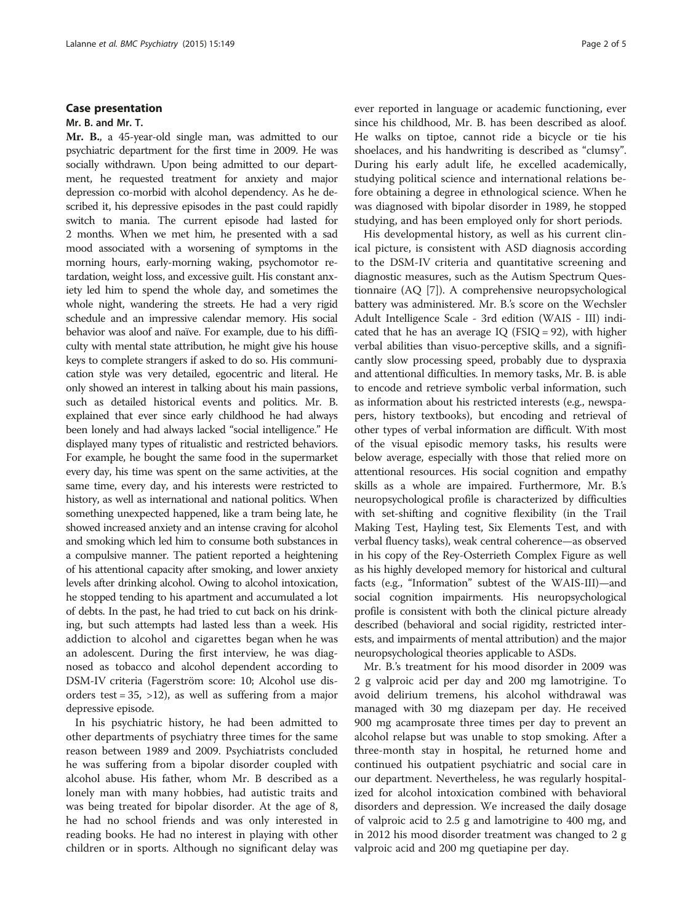### Case presentation

### Mr. B. and Mr. T.

Mr. B., a 45-year-old single man, was admitted to our psychiatric department for the first time in 2009. He was socially withdrawn. Upon being admitted to our department, he requested treatment for anxiety and major depression co-morbid with alcohol dependency. As he described it, his depressive episodes in the past could rapidly switch to mania. The current episode had lasted for 2 months. When we met him, he presented with a sad mood associated with a worsening of symptoms in the morning hours, early-morning waking, psychomotor retardation, weight loss, and excessive guilt. His constant anxiety led him to spend the whole day, and sometimes the whole night, wandering the streets. He had a very rigid schedule and an impressive calendar memory. His social behavior was aloof and naïve. For example, due to his difficulty with mental state attribution, he might give his house keys to complete strangers if asked to do so. His communication style was very detailed, egocentric and literal. He only showed an interest in talking about his main passions, such as detailed historical events and politics. Mr. B. explained that ever since early childhood he had always been lonely and had always lacked "social intelligence." He displayed many types of ritualistic and restricted behaviors. For example, he bought the same food in the supermarket every day, his time was spent on the same activities, at the same time, every day, and his interests were restricted to history, as well as international and national politics. When something unexpected happened, like a tram being late, he showed increased anxiety and an intense craving for alcohol and smoking which led him to consume both substances in a compulsive manner. The patient reported a heightening of his attentional capacity after smoking, and lower anxiety levels after drinking alcohol. Owing to alcohol intoxication, he stopped tending to his apartment and accumulated a lot of debts. In the past, he had tried to cut back on his drinking, but such attempts had lasted less than a week. His addiction to alcohol and cigarettes began when he was an adolescent. During the first interview, he was diagnosed as tobacco and alcohol dependent according to DSM-IV criteria (Fagerström score: 10; Alcohol use disorders test =  $35$ ,  $>12$ ), as well as suffering from a major depressive episode.

In his psychiatric history, he had been admitted to other departments of psychiatry three times for the same reason between 1989 and 2009. Psychiatrists concluded he was suffering from a bipolar disorder coupled with alcohol abuse. His father, whom Mr. B described as a lonely man with many hobbies, had autistic traits and was being treated for bipolar disorder. At the age of 8, he had no school friends and was only interested in reading books. He had no interest in playing with other children or in sports. Although no significant delay was ever reported in language or academic functioning, ever since his childhood, Mr. B. has been described as aloof. He walks on tiptoe, cannot ride a bicycle or tie his shoelaces, and his handwriting is described as "clumsy". During his early adult life, he excelled academically, studying political science and international relations before obtaining a degree in ethnological science. When he was diagnosed with bipolar disorder in 1989, he stopped studying, and has been employed only for short periods.

His developmental history, as well as his current clinical picture, is consistent with ASD diagnosis according to the DSM-IV criteria and quantitative screening and diagnostic measures, such as the Autism Spectrum Questionnaire (AQ [\[7](#page-4-0)]). A comprehensive neuropsychological battery was administered. Mr. B.'s score on the Wechsler Adult Intelligence Scale - 3rd edition (WAIS - III) indicated that he has an average IQ (FSIQ = 92), with higher verbal abilities than visuo-perceptive skills, and a significantly slow processing speed, probably due to dyspraxia and attentional difficulties. In memory tasks, Mr. B. is able to encode and retrieve symbolic verbal information, such as information about his restricted interests (e.g., newspapers, history textbooks), but encoding and retrieval of other types of verbal information are difficult. With most of the visual episodic memory tasks, his results were below average, especially with those that relied more on attentional resources. His social cognition and empathy skills as a whole are impaired. Furthermore, Mr. B.'s neuropsychological profile is characterized by difficulties with set-shifting and cognitive flexibility (in the Trail Making Test, Hayling test, Six Elements Test, and with verbal fluency tasks), weak central coherence—as observed in his copy of the Rey-Osterrieth Complex Figure as well as his highly developed memory for historical and cultural facts (e.g., "Information" subtest of the WAIS-III)—and social cognition impairments. His neuropsychological profile is consistent with both the clinical picture already described (behavioral and social rigidity, restricted interests, and impairments of mental attribution) and the major neuropsychological theories applicable to ASDs.

Mr. B.'s treatment for his mood disorder in 2009 was 2 g valproic acid per day and 200 mg lamotrigine. To avoid delirium tremens, his alcohol withdrawal was managed with 30 mg diazepam per day. He received 900 mg acamprosate three times per day to prevent an alcohol relapse but was unable to stop smoking. After a three-month stay in hospital, he returned home and continued his outpatient psychiatric and social care in our department. Nevertheless, he was regularly hospitalized for alcohol intoxication combined with behavioral disorders and depression. We increased the daily dosage of valproic acid to 2.5 g and lamotrigine to 400 mg, and in 2012 his mood disorder treatment was changed to 2 g valproic acid and 200 mg quetiapine per day.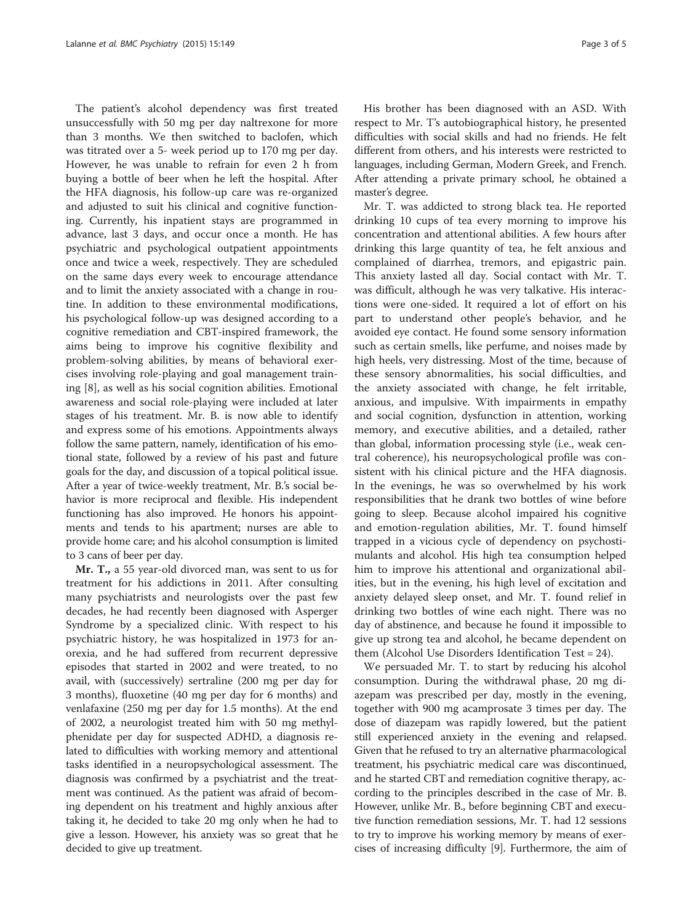The patient's alcohol dependency was first treated unsuccessfully with 50 mg per day naltrexone for more than 3 months. We then switched to baclofen, which was titrated over a 5- week period up to 170 mg per day. However, he was unable to refrain for even 2 h from buying a bottle of beer when he left the hospital. After the HFA diagnosis, his follow-up care was re-organized and adjusted to suit his clinical and cognitive functioning. Currently, his inpatient stays are programmed in advance, last 3 days, and occur once a month. He has psychiatric and psychological outpatient appointments once and twice a week, respectively. They are scheduled on the same days every week to encourage attendance and to limit the anxiety associated with a change in routine. In addition to these environmental modifications, his psychological follow-up was designed according to a cognitive remediation and CBT-inspired framework, the aims being to improve his cognitive flexibility and problem-solving abilities, by means of behavioral exercises involving role-playing and goal management training [[8](#page-4-0)], as well as his social cognition abilities. Emotional awareness and social role-playing were included at later stages of his treatment. Mr. B. is now able to identify and express some of his emotions. Appointments always follow the same pattern, namely, identification of his emotional state, followed by a review of his past and future goals for the day, and discussion of a topical political issue. After a year of twice-weekly treatment, Mr. B.'s social behavior is more reciprocal and flexible. His independent functioning has also improved. He honors his appointments and tends to his apartment; nurses are able to provide home care; and his alcohol consumption is limited to 3 cans of beer per day.

Mr. T., a 55 year-old divorced man, was sent to us for treatment for his addictions in 2011. After consulting many psychiatrists and neurologists over the past few decades, he had recently been diagnosed with Asperger Syndrome by a specialized clinic. With respect to his psychiatric history, he was hospitalized in 1973 for anorexia, and he had suffered from recurrent depressive episodes that started in 2002 and were treated, to no avail, with (successively) sertraline (200 mg per day for 3 months), fluoxetine (40 mg per day for 6 months) and venlafaxine (250 mg per day for 1.5 months). At the end of 2002, a neurologist treated him with 50 mg methylphenidate per day for suspected ADHD, a diagnosis related to difficulties with working memory and attentional tasks identified in a neuropsychological assessment. The diagnosis was confirmed by a psychiatrist and the treatment was continued. As the patient was afraid of becoming dependent on his treatment and highly anxious after taking it, he decided to take 20 mg only when he had to give a lesson. However, his anxiety was so great that he decided to give up treatment.

His brother has been diagnosed with an ASD. With respect to Mr. T's autobiographical history, he presented difficulties with social skills and had no friends. He felt different from others, and his interests were restricted to languages, including German, Modern Greek, and French. After attending a private primary school, he obtained a master's degree.

Mr. T. was addicted to strong black tea. He reported drinking 10 cups of tea every morning to improve his concentration and attentional abilities. A few hours after drinking this large quantity of tea, he felt anxious and complained of diarrhea, tremors, and epigastric pain. This anxiety lasted all day. Social contact with Mr. T. was difficult, although he was very talkative. His interactions were one-sided. It required a lot of effort on his part to understand other people's behavior, and he avoided eye contact. He found some sensory information such as certain smells, like perfume, and noises made by high heels, very distressing. Most of the time, because of these sensory abnormalities, his social difficulties, and the anxiety associated with change, he felt irritable, anxious, and impulsive. With impairments in empathy and social cognition, dysfunction in attention, working memory, and executive abilities, and a detailed, rather than global, information processing style (i.e., weak central coherence), his neuropsychological profile was consistent with his clinical picture and the HFA diagnosis. In the evenings, he was so overwhelmed by his work responsibilities that he drank two bottles of wine before going to sleep. Because alcohol impaired his cognitive and emotion-regulation abilities, Mr. T. found himself trapped in a vicious cycle of dependency on psychostimulants and alcohol. His high tea consumption helped him to improve his attentional and organizational abilities, but in the evening, his high level of excitation and anxiety delayed sleep onset, and Mr. T. found relief in drinking two bottles of wine each night. There was no day of abstinence, and because he found it impossible to give up strong tea and alcohol, he became dependent on them (Alcohol Use Disorders Identification Test = 24).

We persuaded Mr. T. to start by reducing his alcohol consumption. During the withdrawal phase, 20 mg diazepam was prescribed per day, mostly in the evening, together with 900 mg acamprosate 3 times per day. The dose of diazepam was rapidly lowered, but the patient still experienced anxiety in the evening and relapsed. Given that he refused to try an alternative pharmacological treatment, his psychiatric medical care was discontinued, and he started CBT and remediation cognitive therapy, according to the principles described in the case of Mr. B. However, unlike Mr. B., before beginning CBT and executive function remediation sessions, Mr. T. had 12 sessions to try to improve his working memory by means of exercises of increasing difficulty [[9\]](#page-4-0). Furthermore, the aim of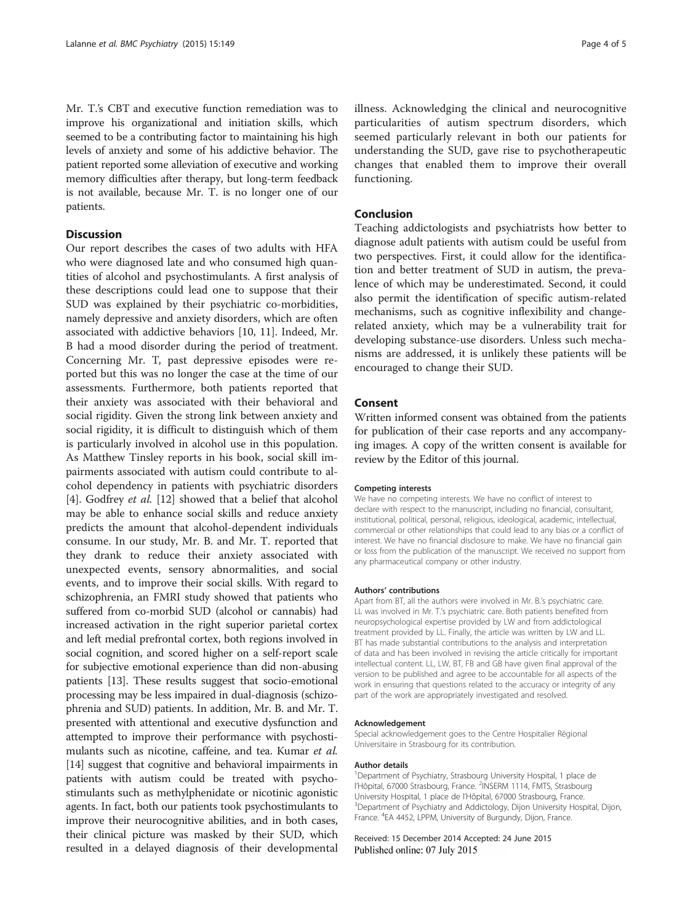Mr. T.'s CBT and executive function remediation was to improve his organizational and initiation skills, which seemed to be a contributing factor to maintaining his high levels of anxiety and some of his addictive behavior. The patient reported some alleviation of executive and working memory difficulties after therapy, but long-term feedback is not available, because Mr. T. is no longer one of our patients.

# **Discussion**

Our report describes the cases of two adults with HFA who were diagnosed late and who consumed high quantities of alcohol and psychostimulants. A first analysis of these descriptions could lead one to suppose that their SUD was explained by their psychiatric co-morbidities, namely depressive and anxiety disorders, which are often associated with addictive behaviors [\[10, 11](#page-4-0)]. Indeed, Mr. B had a mood disorder during the period of treatment. Concerning Mr. T, past depressive episodes were reported but this was no longer the case at the time of our assessments. Furthermore, both patients reported that their anxiety was associated with their behavioral and social rigidity. Given the strong link between anxiety and social rigidity, it is difficult to distinguish which of them is particularly involved in alcohol use in this population. As Matthew Tinsley reports in his book, social skill impairments associated with autism could contribute to alcohol dependency in patients with psychiatric disorders [[4\]](#page-4-0). Godfrey et al. [[12\]](#page-4-0) showed that a belief that alcohol may be able to enhance social skills and reduce anxiety predicts the amount that alcohol-dependent individuals consume. In our study, Mr. B. and Mr. T. reported that they drank to reduce their anxiety associated with unexpected events, sensory abnormalities, and social events, and to improve their social skills. With regard to schizophrenia, an FMRI study showed that patients who suffered from co-morbid SUD (alcohol or cannabis) had increased activation in the right superior parietal cortex and left medial prefrontal cortex, both regions involved in social cognition, and scored higher on a self-report scale for subjective emotional experience than did non-abusing patients [\[13](#page-4-0)]. These results suggest that socio-emotional processing may be less impaired in dual-diagnosis (schizophrenia and SUD) patients. In addition, Mr. B. and Mr. T. presented with attentional and executive dysfunction and attempted to improve their performance with psychostimulants such as nicotine, caffeine, and tea. Kumar et al. [[14](#page-4-0)] suggest that cognitive and behavioral impairments in patients with autism could be treated with psychostimulants such as methylphenidate or nicotinic agonistic agents. In fact, both our patients took psychostimulants to improve their neurocognitive abilities, and in both cases, their clinical picture was masked by their SUD, which resulted in a delayed diagnosis of their developmental

illness. Acknowledging the clinical and neurocognitive particularities of autism spectrum disorders, which seemed particularly relevant in both our patients for understanding the SUD, gave rise to psychotherapeutic changes that enabled them to improve their overall functioning.

## Conclusion

Teaching addictologists and psychiatrists how better to diagnose adult patients with autism could be useful from two perspectives. First, it could allow for the identification and better treatment of SUD in autism, the prevalence of which may be underestimated. Second, it could also permit the identification of specific autism-related mechanisms, such as cognitive inflexibility and changerelated anxiety, which may be a vulnerability trait for developing substance-use disorders. Unless such mechanisms are addressed, it is unlikely these patients will be encouraged to change their SUD.

# Consent

Written informed consent was obtained from the patients for publication of their case reports and any accompanying images. A copy of the written consent is available for review by the Editor of this journal.

#### Competing interests

We have no competing interests. We have no conflict of interest to declare with respect to the manuscript, including no financial, consultant, institutional, political, personal, religious, ideological, academic, intellectual, commercial or other relationships that could lead to any bias or a conflict of interest. We have no financial disclosure to make. We have no financial gain or loss from the publication of the manuscript. We received no support from any pharmaceutical company or other industry.

#### Authors' contributions

Apart from BT, all the authors were involved in Mr. B.'s psychiatric care. LL was involved in Mr. T.'s psychiatric care. Both patients benefited from neuropsychological expertise provided by LW and from addictological treatment provided by LL. Finally, the article was written by LW and LL. BT has made substantial contributions to the analysis and interpretation of data and has been involved in revising the article critically for important intellectual content. LL, LW, BT, FB and GB have given final approval of the version to be published and agree to be accountable for all aspects of the work in ensuring that questions related to the accuracy or integrity of any part of the work are appropriately investigated and resolved.

#### Acknowledgement

Special acknowledgement goes to the Centre Hospitalier Régional Universitaire in Strasbourg for its contribution.

#### Author details

<sup>1</sup>Department of Psychiatry, Strasbourg University Hospital, 1 place de l'Hôpital, 67000 Strasbourg, France. <sup>2</sup>INSERM 1114, FMTS, Strasbourg University Hospital, 1 place de l'Hôpital, 67000 Strasbourg, France. <sup>3</sup> Department of Psychiatry and Addictology, Dijon University Hospital, Dijon, France. <sup>4</sup> EA 4452, LPPM, University of Burgundy, Dijon, France.

Received: 15 December 2014 Accepted: 24 June 2015 Published online: 07 July 2015